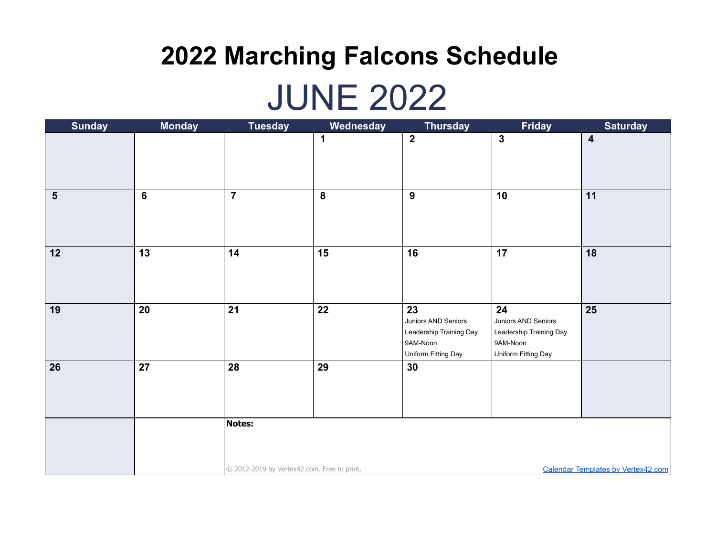### JUNE 2022

| <b>Sunday</b>           | <b>Monday</b>   | <b>Tuesday</b>                                                                           | Wednesday               | <b>Thursday</b>                                                                         | Friday                                                                                  | <b>Saturday</b>         |
|-------------------------|-----------------|------------------------------------------------------------------------------------------|-------------------------|-----------------------------------------------------------------------------------------|-----------------------------------------------------------------------------------------|-------------------------|
|                         |                 |                                                                                          | 1                       | $\overline{2}$                                                                          | $\overline{\mathbf{3}}$                                                                 | $\overline{\mathbf{4}}$ |
| $\overline{\mathbf{5}}$ | 6               | $\overline{\mathbf{7}}$                                                                  | $\overline{\mathbf{8}}$ | $\overline{9}$                                                                          | 10                                                                                      | 11                      |
| $\boxed{12}$            | $\overline{13}$ | 14                                                                                       | $\overline{15}$         | $\overline{16}$                                                                         | $\overline{17}$                                                                         | $\overline{18}$         |
| 19                      | 20              | 21                                                                                       | 22                      | 23<br>Juniors AND Seniors<br>Leadership Training Day<br>9AM-Noon<br>Uniform Fitting Day | 24<br>Juniors AND Seniors<br>Leadership Training Day<br>9AM-Noon<br>Uniform Fitting Day | $\overline{25}$         |
| $\vert$ 26              | 27              | 28                                                                                       | 29                      | 30                                                                                      |                                                                                         |                         |
|                         |                 | <b>Notes:</b>                                                                            |                         |                                                                                         |                                                                                         |                         |
|                         |                 | © 2012-2019 by Vertex42.com. Free to print.<br><b>Calendar Templates by Vertex42.com</b> |                         |                                                                                         |                                                                                         |                         |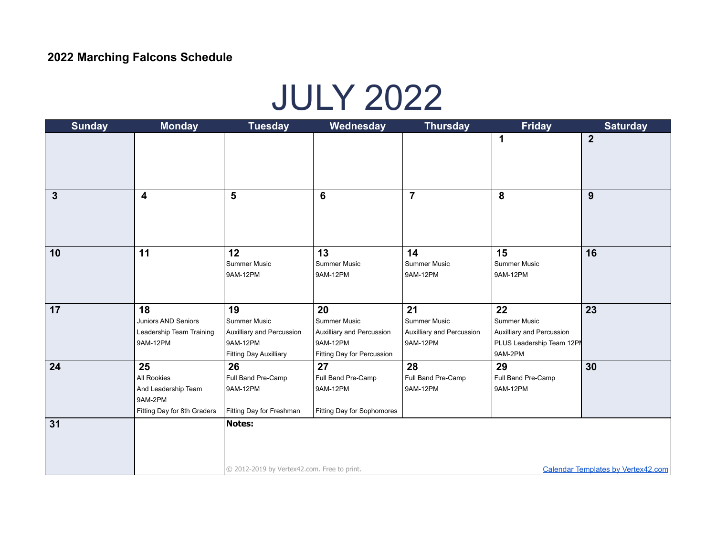### JULY 2022

| <b>Sunday</b> | <b>Monday</b>                                                                      | <b>Tuesday</b>                                                                               | Wednesday                                                                                 | <b>Thursday</b>                                             | <b>Friday</b>                                                                                  | <b>Saturday</b>                           |
|---------------|------------------------------------------------------------------------------------|----------------------------------------------------------------------------------------------|-------------------------------------------------------------------------------------------|-------------------------------------------------------------|------------------------------------------------------------------------------------------------|-------------------------------------------|
|               |                                                                                    |                                                                                              |                                                                                           |                                                             | 1                                                                                              | $\boldsymbol{2}$                          |
| $\mathbf{3}$  | $\overline{\mathbf{4}}$                                                            | 5                                                                                            | 6                                                                                         | $\overline{7}$                                              | 8                                                                                              | 9                                         |
| 10            | 11                                                                                 | 12<br>Summer Music<br>9AM-12PM                                                               | 13<br>Summer Music<br>9AM-12PM                                                            | 14<br><b>Summer Music</b><br>9AM-12PM                       | 15<br>Summer Music<br>9AM-12PM                                                                 | 16                                        |
| 17            | 18<br>Juniors AND Seniors<br>Leadership Team Training<br>9AM-12PM                  | 19<br>Summer Music<br>Auxilliary and Percussion<br>9AM-12PM<br><b>Fitting Day Auxilliary</b> | 20<br>Summer Music<br>Auxilliary and Percussion<br>9AM-12PM<br>Fitting Day for Percussion | 21<br>Summer Music<br>Auxilliary and Percussion<br>9AM-12PM | 22<br><b>Summer Music</b><br>Auxilliary and Percussion<br>PLUS Leadership Team 12PN<br>9AM-2PM | 23                                        |
| 24            | 25<br>All Rookies<br>And Leadership Team<br>9AM-2PM<br>Fitting Day for 8th Graders | 26<br>Full Band Pre-Camp<br>9AM-12PM<br>Fitting Day for Freshman                             | 27<br>Full Band Pre-Camp<br>9AM-12PM<br>Fitting Day for Sophomores                        | 28<br>Full Band Pre-Camp<br>9AM-12PM                        | 29<br>Full Band Pre-Camp<br>9AM-12PM                                                           | 30                                        |
| 31            |                                                                                    | <b>Notes:</b><br>© 2012-2019 by Vertex42.com. Free to print.                                 |                                                                                           |                                                             |                                                                                                | <b>Calendar Templates by Vertex42.com</b> |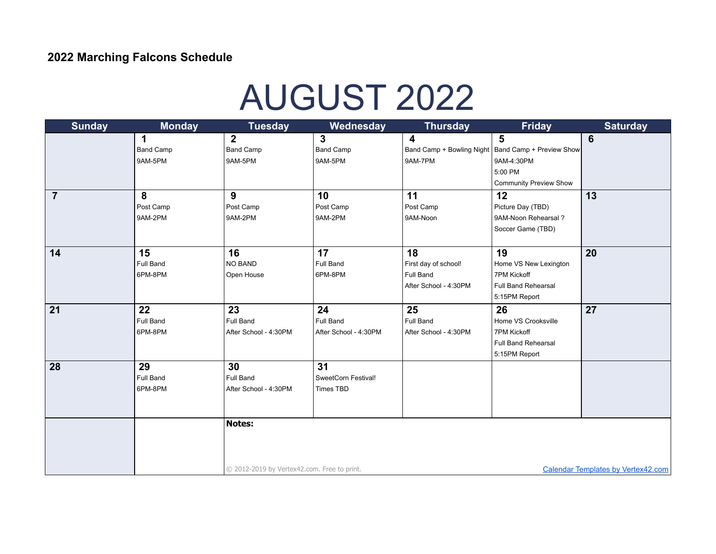# AUGUST 2022

| <b>Sunday</b>   | <b>Monday</b>    | <b>Tuesday</b>                                                                           | Wednesday             | <b>Thursday</b>         | <b>Friday</b>                                        | <b>Saturday</b> |
|-----------------|------------------|------------------------------------------------------------------------------------------|-----------------------|-------------------------|------------------------------------------------------|-----------------|
|                 | 1                | $\overline{2}$                                                                           | $\mathbf{3}$          | $\overline{\mathbf{4}}$ | $5\phantom{1}$                                       | $6\phantom{1}6$ |
|                 | <b>Band Camp</b> | <b>Band Camp</b>                                                                         | <b>Band Camp</b>      |                         | Band Camp + Bowling Night   Band Camp + Preview Show |                 |
|                 | 9AM-5PM          | 9AM-5PM                                                                                  | 9AM-5PM               | 9AM-7PM                 | 9AM-4:30PM                                           |                 |
|                 |                  |                                                                                          |                       |                         | 5:00 PM                                              |                 |
|                 |                  |                                                                                          |                       |                         | <b>Community Preview Show</b>                        |                 |
| $\overline{7}$  | 8                | 9                                                                                        | 10                    | 11                      | 12                                                   | 13              |
|                 | Post Camp        | Post Camp                                                                                | Post Camp             | Post Camp               | Picture Day (TBD)                                    |                 |
|                 | 9AM-2PM          | 9AM-2PM                                                                                  | 9AM-2PM               | 9AM-Noon                | 9AM-Noon Rehearsal?                                  |                 |
|                 |                  |                                                                                          |                       |                         | Soccer Game (TBD)                                    |                 |
|                 |                  |                                                                                          |                       |                         |                                                      |                 |
| 14              | 15               | 16                                                                                       | 17                    | 18                      | 19                                                   | 20              |
|                 | <b>Full Band</b> | <b>NO BAND</b>                                                                           | Full Band             | First day of school!    | Home VS New Lexington                                |                 |
|                 | 6PM-8PM          | Open House                                                                               | 6PM-8PM               | Full Band               | <b>7PM Kickoff</b>                                   |                 |
|                 |                  |                                                                                          |                       | After School - 4:30PM   | <b>Full Band Rehearsal</b>                           |                 |
|                 |                  |                                                                                          |                       |                         | 5:15PM Report                                        |                 |
| $\overline{21}$ | 22               | 23                                                                                       | 24                    | 25                      | 26                                                   | 27              |
|                 | Full Band        | Full Band                                                                                | Full Band             | Full Band               | Home VS Crooksville                                  |                 |
|                 | 6PM-8PM          | After School - 4:30PM                                                                    | After School - 4:30PM | After School - 4:30PM   | 7PM Kickoff                                          |                 |
|                 |                  |                                                                                          |                       |                         | Full Band Rehearsal                                  |                 |
|                 |                  |                                                                                          |                       |                         | 5:15PM Report                                        |                 |
| 28              | 29               | 30                                                                                       | 31                    |                         |                                                      |                 |
|                 | <b>Full Band</b> | Full Band                                                                                | SweetCorn Festival!   |                         |                                                      |                 |
|                 | 6PM-8PM          | After School - 4:30PM                                                                    | Times TBD             |                         |                                                      |                 |
|                 |                  |                                                                                          |                       |                         |                                                      |                 |
|                 |                  |                                                                                          |                       |                         |                                                      |                 |
|                 |                  | Notes:                                                                                   |                       |                         |                                                      |                 |
|                 |                  |                                                                                          |                       |                         |                                                      |                 |
|                 |                  |                                                                                          |                       |                         |                                                      |                 |
|                 |                  |                                                                                          |                       |                         |                                                      |                 |
|                 |                  | © 2012-2019 by Vertex42.com. Free to print.<br><b>Calendar Templates by Vertex42.com</b> |                       |                         |                                                      |                 |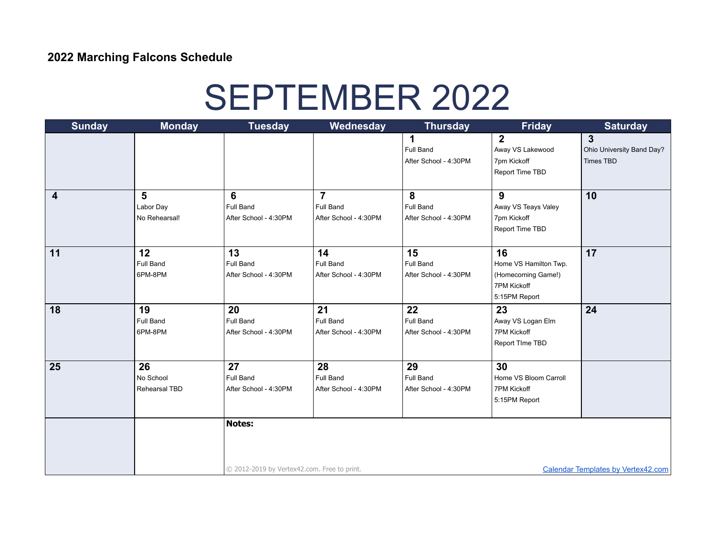# SEPTEMBER 2022

| <b>Sunday</b>   | <b>Monday</b>    | <b>Tuesday</b>                              | Wednesday             | <b>Thursday</b>       | <b>Friday</b>         | <b>Saturday</b>                           |
|-----------------|------------------|---------------------------------------------|-----------------------|-----------------------|-----------------------|-------------------------------------------|
|                 |                  |                                             |                       | $\mathbf 1$           | $\overline{2}$        | $\mathbf{3}$                              |
|                 |                  |                                             |                       | Full Band             | Away VS Lakewood      | Ohio University Band Day?                 |
|                 |                  |                                             |                       | After School - 4:30PM | 7pm Kickoff           | <b>Times TBD</b>                          |
|                 |                  |                                             |                       |                       | Report Time TBD       |                                           |
|                 |                  |                                             |                       |                       |                       |                                           |
| 4               | 5                | 6                                           | $\overline{7}$        | 8                     | 9                     | 10                                        |
|                 | Labor Day        | Full Band                                   | Full Band             | Full Band             | Away VS Teays Valey   |                                           |
|                 | No Rehearsal!    | After School - 4:30PM                       | After School - 4:30PM | After School - 4:30PM | 7pm Kickoff           |                                           |
|                 |                  |                                             |                       |                       | Report Time TBD       |                                           |
|                 |                  |                                             |                       |                       |                       |                                           |
| 11              | 12               | 13                                          | 14                    | 15                    | 16                    | 17                                        |
|                 | <b>Full Band</b> | Full Band                                   | <b>Full Band</b>      | Full Band             | Home VS Hamilton Twp. |                                           |
|                 | 6PM-8PM          | After School - 4:30PM                       | After School - 4:30PM | After School - 4:30PM | (Homecoming Game!)    |                                           |
|                 |                  |                                             |                       |                       | 7PM Kickoff           |                                           |
|                 |                  |                                             |                       |                       | 5:15PM Report         |                                           |
| $\overline{18}$ | 19               | 20                                          | 21                    | 22                    | 23                    | 24                                        |
|                 | <b>Full Band</b> | <b>Full Band</b>                            | <b>Full Band</b>      | Full Band             | Away VS Logan Elm     |                                           |
|                 | 6PM-8PM          | After School - 4:30PM                       | After School - 4:30PM | After School - 4:30PM | 7PM Kickoff           |                                           |
|                 |                  |                                             |                       |                       | Report TIme TBD       |                                           |
|                 |                  |                                             |                       |                       |                       |                                           |
| 25              | 26               | 27                                          | 28                    | 29                    | 30                    |                                           |
|                 | No School        | Full Band                                   | Full Band             | Full Band             | Home VS Bloom Carroll |                                           |
|                 | Rehearsal TBD    | After School - 4:30PM                       | After School - 4:30PM | After School - 4:30PM | 7PM Kickoff           |                                           |
|                 |                  |                                             |                       |                       | 5:15PM Report         |                                           |
|                 |                  | <b>Notes:</b>                               |                       |                       |                       |                                           |
|                 |                  |                                             |                       |                       |                       |                                           |
|                 |                  |                                             |                       |                       |                       |                                           |
|                 |                  |                                             |                       |                       |                       |                                           |
|                 |                  | © 2012-2019 by Vertex42.com. Free to print. |                       |                       |                       | <b>Calendar Templates by Vertex42.com</b> |
|                 |                  |                                             |                       |                       |                       |                                           |